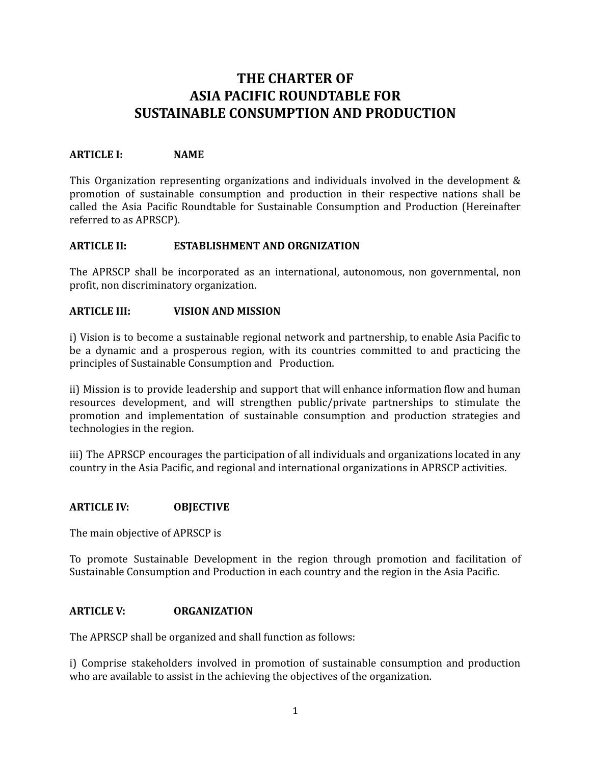# **THE CHARTER OF ASIA PACIFIC ROUNDTABLE FOR SUSTAINABLE CONSUMPTION AND PRODUCTION**

## **ARTICLE I: NAME**

This Organization representing organizations and individuals involved in the development & promotion of sustainable consumption and production in their respective nations shall be called the Asia Pacific Roundtable for Sustainable Consumption and Production (Hereinafter referred to as APRSCP).

## **ARTICLE II: ESTABLISHMENT AND ORGNIZATION**

The APRSCP shall be incorporated as an international, autonomous, non governmental, non profit, non discriminatory organization.

#### **ARTICLE III: VISION AND MISSION**

i) Vision is to become a sustainable regional network and partnership, to enable Asia Pacific to be a dynamic and a prosperous region, with its countries committed to and practicing the principles of Sustainable Consumption and Production.

ii) Mission is to provide leadership and support that will enhance information flow and human resources development, and will strengthen public/private partnerships to stimulate the promotion and implementation of sustainable consumption and production strategies and technologies in the region.

iii) The APRSCP encourages the participation of all individuals and organizations located in any country in the Asia Pacific, and regional and international organizations in APRSCP activities.

#### **ARTICLE IV: OBJECTIVE**

The main objective of APRSCP is

To promote Sustainable Development in the region through promotion and facilitation of Sustainable Consumption and Production in each country and the region in the Asia Pacific.

#### **ARTICLE V: ORGANIZATION**

The APRSCP shall be organized and shall function as follows:

i) Comprise stakeholders involved in promotion of sustainable consumption and production who are available to assist in the achieving the objectives of the organization.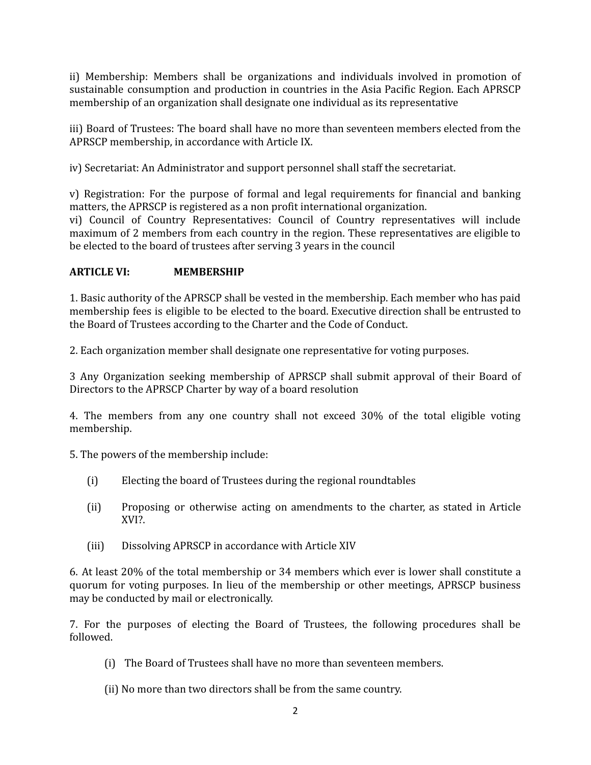ii) Membership: Members shall be organizations and individuals involved in promotion of sustainable consumption and production in countries in the Asia Pacific Region. Each APRSCP membership of an organization shall designate one individual as its representative

iii) Board of Trustees: The board shall have no more than seventeen members elected from the APRSCP membership, in accordance with Article IX.

iv) Secretariat: An Administrator and support personnel shall staff the secretariat.

v) Registration: For the purpose of formal and legal requirements for financial and banking matters, the APRSCP is registered as a non profit international organization.

vi) Council of Country Representatives: Council of Country representatives will include maximum of 2 members from each country in the region. These representatives are eligible to be elected to the board of trustees after serving 3 years in the council

# **ARTICLE VI: MEMBERSHIP**

1. Basic authority of the APRSCP shall be vested in the membership. Each member who has paid membership fees is eligible to be elected to the board. Executive direction shall be entrusted to the Board of Trustees according to the Charter and the Code of Conduct.

2. Each organization member shall designate one representative for voting purposes.

3 Any Organization seeking membership of APRSCP shall submit approval of their Board of Directors to the APRSCP Charter by way of a board resolution

4. The members from any one country shall not exceed 30% of the total eligible voting membership.

5. The powers of the membership include:

- (i) Electing the board of Trustees during the regional roundtables
- (ii) Proposing or otherwise acting on amendments to the charter, as stated in Article XVI?.
- (iii) Dissolving APRSCP in accordance with Article XIV

6. At least 20% of the total membership or 34 members which ever is lower shall constitute a quorum for voting purposes. In lieu of the membership or other meetings, APRSCP business may be conducted by mail or electronically.

7. For the purposes of electing the Board of Trustees, the following procedures shall be followed.

- (i) The Board of Trustees shall have no more than seventeen members.
- (ii) No more than two directors shall be from the same country.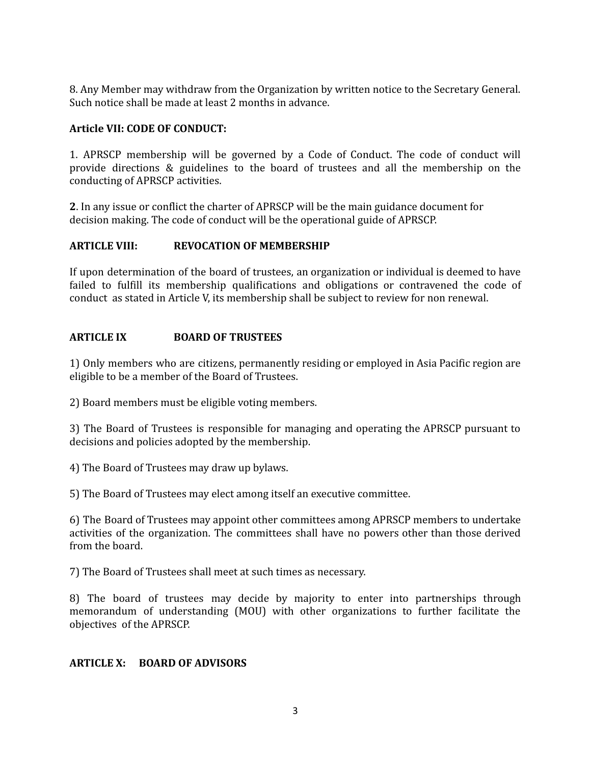8. Any Member may withdraw from the Organization by written notice to the Secretary General. Such notice shall be made at least 2 months in advance.

## **Article VII: CODE OF CONDUCT:**

1. APRSCP membership will be governed by a Code of Conduct. The code of conduct will provide directions & guidelines to the board of trustees and all the membership on the conducting of APRSCP activities.

**2**. In any issue or conflict the charter of APRSCP will be the main guidance document for decision making. The code of conduct will be the operational guide of APRSCP.

## **ARTICLE VIII: REVOCATION OF MEMBERSHIP**

If upon determination of the board of trustees, an organization or individual is deemed to have failed to fulfill its membership qualifications and obligations or contravened the code of conduct as stated in Article V, its membership shall be subject to review for non renewal.

## **ARTICLE IX BOARD OF TRUSTEES**

1) Only members who are citizens, permanently residing or employed in Asia Pacific region are eligible to be a member of the Board of Trustees.

2) Board members must be eligible voting members.

3) The Board of Trustees is responsible for managing and operating the APRSCP pursuant to decisions and policies adopted by the membership.

4) The Board of Trustees may draw up bylaws.

5) The Board of Trustees may elect among itself an executive committee.

6) The Board of Trustees may appoint other committees among APRSCP members to undertake activities of the organization. The committees shall have no powers other than those derived from the board.

7) The Board of Trustees shall meet at such times as necessary.

8) The board of trustees may decide by majority to enter into partnerships through memorandum of understanding (MOU) with other organizations to further facilitate the objectives of the APRSCP.

## **ARTICLE X: BOARD OF ADVISORS**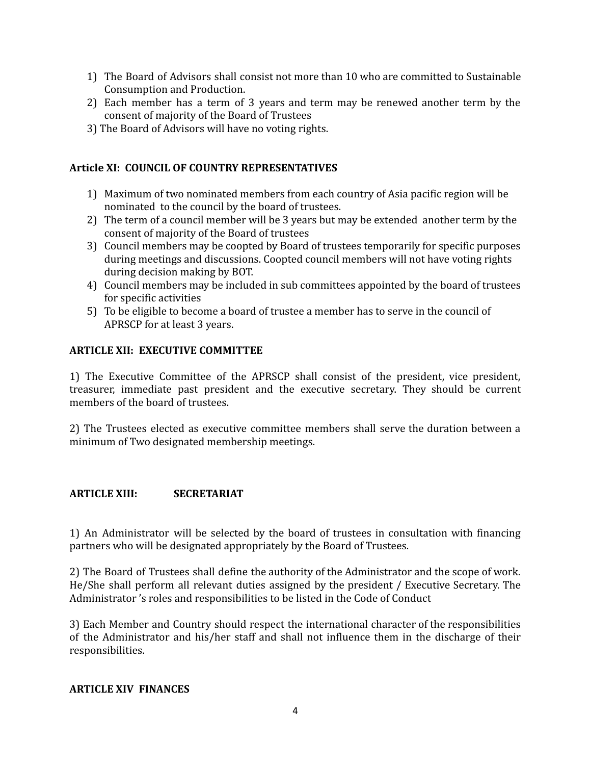- 1) The Board of Advisors shall consist not more than 10 who are committed to Sustainable Consumption and Production.
- 2) Each member has a term of 3 years and term may be renewed another term by the consent of majority of the Board of Trustees
- 3) The Board of Advisors will have no voting rights.

#### **Article XI: COUNCIL OF COUNTRY REPRESENTATIVES**

- 1) Maximum of two nominated members from each country of Asia pacific region will be nominated to the council by the board of trustees.
- 2) The term of a council member will be 3 years but may be extended another term by the consent of majority of the Board of trustees
- 3) Council members may be coopted by Board of trustees temporarily for specific purposes during meetings and discussions. Coopted council members will not have voting rights during decision making by BOT.
- 4) Council members may be included in sub committees appointed by the board of trustees for specific activities
- 5) To be eligible to become a board of trustee a member has to serve in the council of APRSCP for at least 3 years.

## **ARTICLE XII: EXECUTIVE COMMITTEE**

1) The Executive Committee of the APRSCP shall consist of the president, vice president, treasurer, immediate past president and the executive secretary. They should be current members of the board of trustees.

2) The Trustees elected as executive committee members shall serve the duration between a minimum of Two designated membership meetings.

## **ARTICLE XIII: SECRETARIAT**

1) An Administrator will be selected by the board of trustees in consultation with financing partners who will be designated appropriately by the Board of Trustees.

2) The Board of Trustees shall define the authority of the Administrator and the scope of work. He/She shall perform all relevant duties assigned by the president / Executive Secretary. The Administrator 's roles and responsibilities to be listed in the Code of Conduct

3) Each Member and Country should respect the international character of the responsibilities of the Administrator and his/her staff and shall not influence them in the discharge of their responsibilities.

#### **ARTICLE XIV FINANCES**